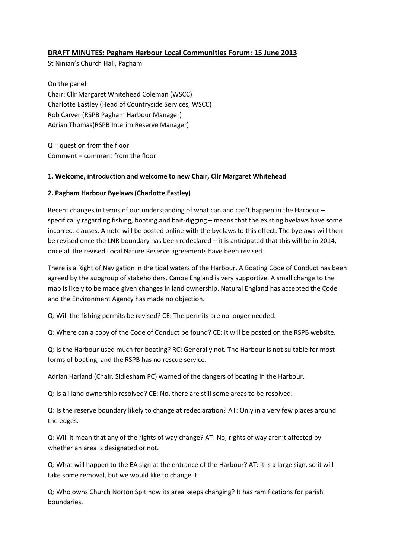# **DRAFT MINUTES: Pagham Harbour Local Communities Forum: 15 June 2013**

St Ninian's Church Hall, Pagham

On the panel: Chair: Cllr Margaret Whitehead Coleman (WSCC) Charlotte Eastley (Head of Countryside Services, WSCC) Rob Carver (RSPB Pagham Harbour Manager) Adrian Thomas(RSPB Interim Reserve Manager)

Q = question from the floor Comment = comment from the floor

## **1. Welcome, introduction and welcome to new Chair, Cllr Margaret Whitehead**

## **2. Pagham Harbour Byelaws (Charlotte Eastley)**

Recent changes in terms of our understanding of what can and can't happen in the Harbour – specifically regarding fishing, boating and bait-digging – means that the existing byelaws have some incorrect clauses. A note will be posted online with the byelaws to this effect. The byelaws will then be revised once the LNR boundary has been redeclared – it is anticipated that this will be in 2014, once all the revised Local Nature Reserve agreements have been revised.

There is a Right of Navigation in the tidal waters of the Harbour. A Boating Code of Conduct has been agreed by the subgroup of stakeholders. Canoe England is very supportive. A small change to the map is likely to be made given changes in land ownership. Natural England has accepted the Code and the Environment Agency has made no objection.

Q: Will the fishing permits be revised? CE: The permits are no longer needed.

Q: Where can a copy of the Code of Conduct be found? CE: It will be posted on the RSPB website.

Q: Is the Harbour used much for boating? RC: Generally not. The Harbour is not suitable for most forms of boating, and the RSPB has no rescue service.

Adrian Harland (Chair, Sidlesham PC) warned of the dangers of boating in the Harbour.

Q: Is all land ownership resolved? CE: No, there are still some areas to be resolved.

Q: Is the reserve boundary likely to change at redeclaration? AT: Only in a very few places around the edges.

Q: Will it mean that any of the rights of way change? AT: No, rights of way aren't affected by whether an area is designated or not.

Q: What will happen to the EA sign at the entrance of the Harbour? AT: It is a large sign, so it will take some removal, but we would like to change it.

Q: Who owns Church Norton Spit now its area keeps changing? It has ramifications for parish boundaries.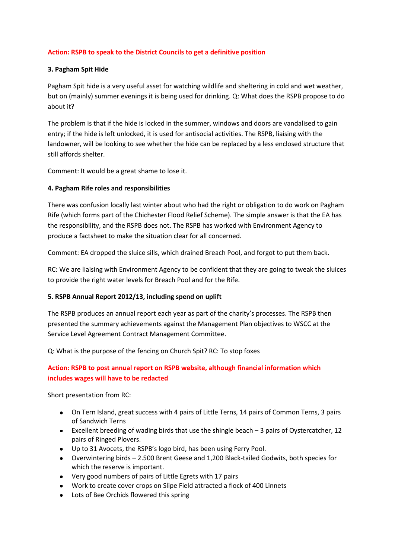## **Action: RSPB to speak to the District Councils to get a definitive position**

## **3. Pagham Spit Hide**

Pagham Spit hide is a very useful asset for watching wildlife and sheltering in cold and wet weather, but on (mainly) summer evenings it is being used for drinking. Q: What does the RSPB propose to do about it?

The problem is that if the hide is locked in the summer, windows and doors are vandalised to gain entry; if the hide is left unlocked, it is used for antisocial activities. The RSPB, liaising with the landowner, will be looking to see whether the hide can be replaced by a less enclosed structure that still affords shelter.

Comment: It would be a great shame to lose it.

## **4. Pagham Rife roles and responsibilities**

There was confusion locally last winter about who had the right or obligation to do work on Pagham Rife (which forms part of the Chichester Flood Relief Scheme). The simple answer is that the EA has the responsibility, and the RSPB does not. The RSPB has worked with Environment Agency to produce a factsheet to make the situation clear for all concerned.

Comment: EA dropped the sluice sills, which drained Breach Pool, and forgot to put them back.

RC: We are liaising with Environment Agency to be confident that they are going to tweak the sluices to provide the right water levels for Breach Pool and for the Rife.

#### **5. RSPB Annual Report 2012/13, including spend on uplift**

The RSPB produces an annual report each year as part of the charity's processes. The RSPB then presented the summary achievements against the Management Plan objectives to WSCC at the Service Level Agreement Contract Management Committee.

Q: What is the purpose of the fencing on Church Spit? RC: To stop foxes

# **Action: RSPB to post annual report on RSPB website, although financial information which includes wages will have to be redacted**

Short presentation from RC:

- On Tern Island, great success with 4 pairs of Little Terns, 14 pairs of Common Terns, 3 pairs of Sandwich Terns
- Excellent breeding of wading birds that use the shingle beach 3 pairs of Oystercatcher, 12 pairs of Ringed Plovers.
- Up to 31 Avocets, the RSPB's logo bird, has been using Ferry Pool.
- Overwintering birds 2.500 Brent Geese and 1,200 Black-tailed Godwits, both species for which the reserve is important.
- Very good numbers of pairs of Little Egrets with 17 pairs
- Work to create cover crops on Slipe Field attracted a flock of 400 Linnets
- Lots of Bee Orchids flowered this spring